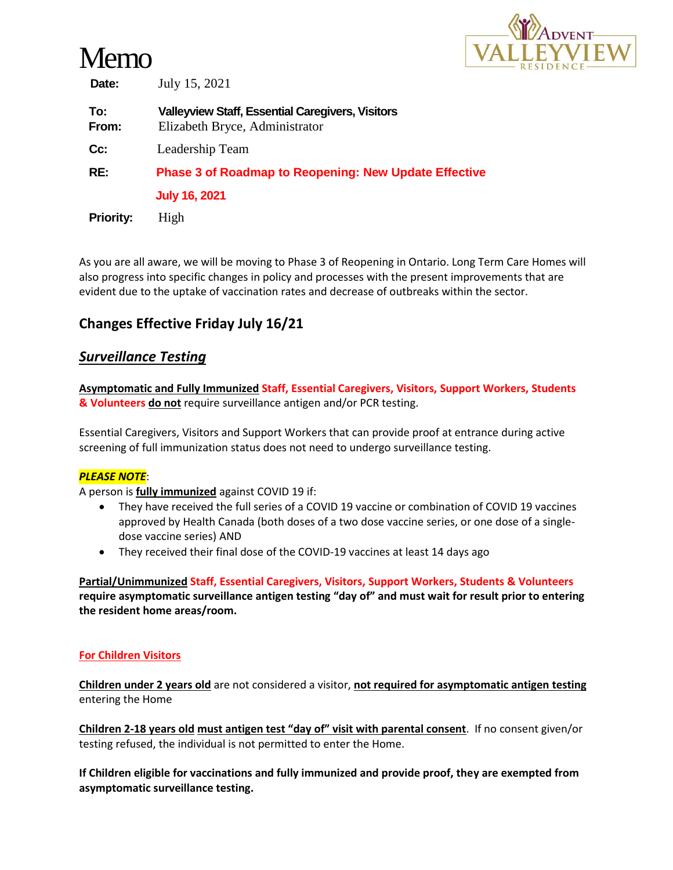# Memo



**Date:** July 15, 2021

| To:<br>From:     | <b>Valleyview Staff, Essential Caregivers, Visitors</b><br>Elizabeth Bryce, Administrator |
|------------------|-------------------------------------------------------------------------------------------|
| Cc:              | Leadership Team                                                                           |
| RE:              | <b>Phase 3 of Roadmap to Reopening: New Update Effective</b>                              |
|                  | <b>July 16, 2021</b>                                                                      |
| <b>Priority:</b> | High                                                                                      |

As you are all aware, we will be moving to Phase 3 of Reopening in Ontario. Long Term Care Homes will also progress into specific changes in policy and processes with the present improvements that are evident due to the uptake of vaccination rates and decrease of outbreaks within the sector.

# **Changes Effective Friday July 16/21**

### *Surveillance Testing*

**Asymptomatic and Fully Immunized Staff, Essential Caregivers, Visitors, Support Workers, Students & Volunteers do not** require surveillance antigen and/or PCR testing.

Essential Caregivers, Visitors and Support Workers that can provide proof at entrance during active screening of full immunization status does not need to undergo surveillance testing.

#### *PLEASE NOTE*:

A person is **fully immunized** against COVID 19 if:

- They have received the full series of a COVID 19 vaccine or combination of COVID 19 vaccines approved by Health Canada (both doses of a two dose vaccine series, or one dose of a singledose vaccine series) AND
- They received their final dose of the COVID-19 vaccines at least 14 days ago

**Partial/Unimmunized Staff, Essential Caregivers, Visitors, Support Workers, Students & Volunteers require asymptomatic surveillance antigen testing "day of" and must wait for result prior to entering the resident home areas/room.**

#### **For Children Visitors**

**Children under 2 years old** are not considered a visitor, **not required for asymptomatic antigen testing** entering the Home

**Children 2-18 years old must antigen test "day of" visit with parental consent**. If no consent given/or testing refused, the individual is not permitted to enter the Home.

**If Children eligible for vaccinations and fully immunized and provide proof, they are exempted from asymptomatic surveillance testing.**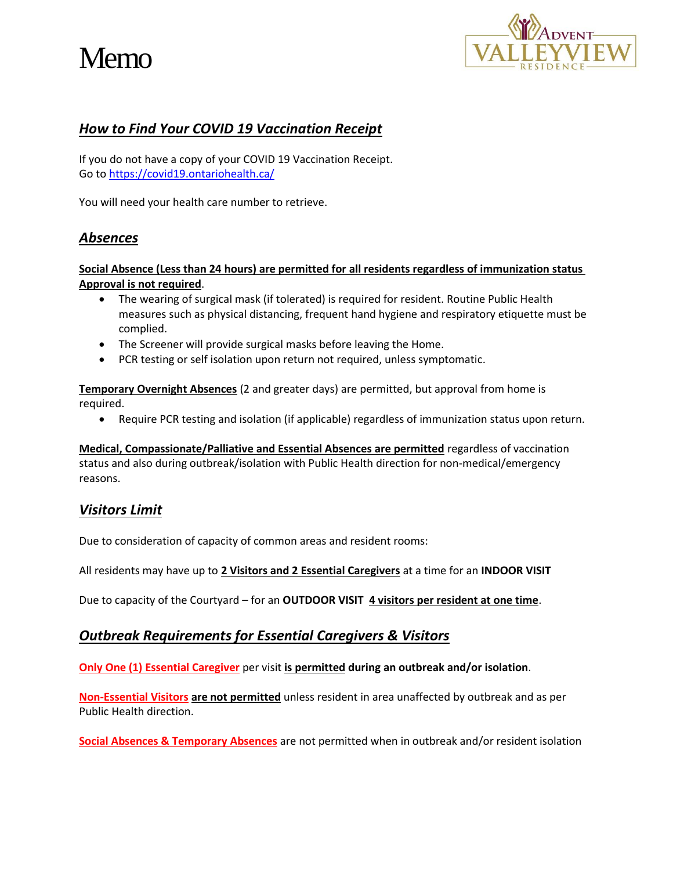# Memo



# *How to Find Your COVID 19 Vaccination Receipt*

If you do not have a copy of your COVID 19 Vaccination Receipt. Go to<https://covid19.ontariohealth.ca/>

You will need your health care number to retrieve.

# *Absences*

#### **Social Absence (Less than 24 hours) are permitted for all residents regardless of immunization status Approval is not required**.

- The wearing of surgical mask (if tolerated) is required for resident. Routine Public Health measures such as physical distancing, frequent hand hygiene and respiratory etiquette must be complied.
- The Screener will provide surgical masks before leaving the Home.
- PCR testing or self isolation upon return not required, unless symptomatic.

**Temporary Overnight Absences** (2 and greater days) are permitted, but approval from home is required.

Require PCR testing and isolation (if applicable) regardless of immunization status upon return.

**Medical, Compassionate/Palliative and Essential Absences are permitted** regardless of vaccination status and also during outbreak/isolation with Public Health direction for non-medical/emergency reasons.

# *Visitors Limit*

Due to consideration of capacity of common areas and resident rooms:

All residents may have up to **2 Visitors and 2 Essential Caregivers** at a time for an **INDOOR VISIT**

Due to capacity of the Courtyard – for an **OUTDOOR VISIT 4 visitors per resident at one time**.

### *Outbreak Requirements for Essential Caregivers & Visitors*

**Only One (1) Essential Caregiver** per visit **is permitted during an outbreak and/or isolation**.

**Non-Essential Visitors are not permitted** unless resident in area unaffected by outbreak and as per Public Health direction.

**Social Absences & Temporary Absences** are not permitted when in outbreak and/or resident isolation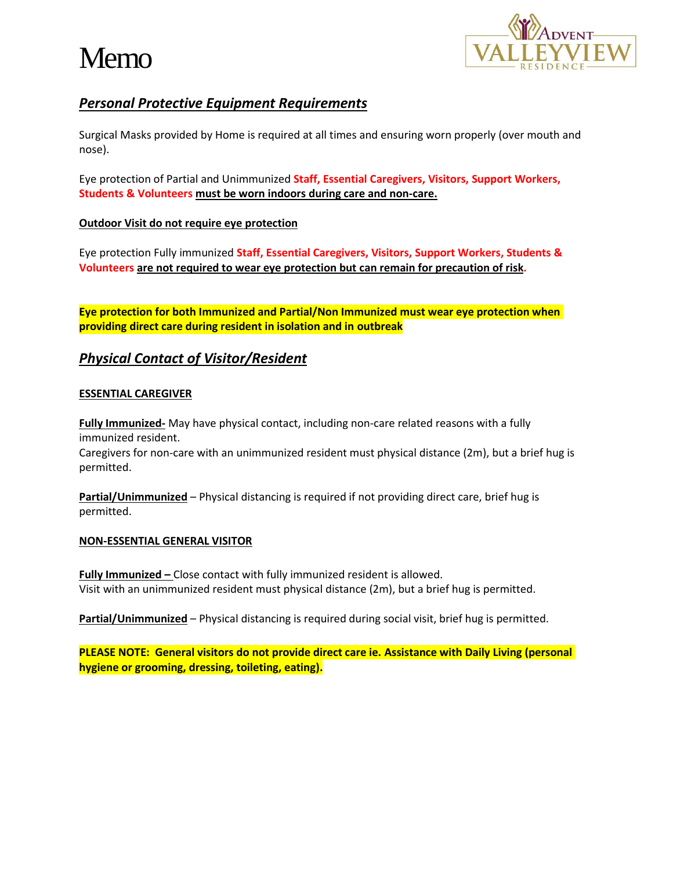



# *Personal Protective Equipment Requirements*

Surgical Masks provided by Home is required at all times and ensuring worn properly (over mouth and nose).

Eye protection of Partial and Unimmunized **Staff, Essential Caregivers, Visitors, Support Workers, Students & Volunteers must be worn indoors during care and non-care.**

#### **Outdoor Visit do not require eye protection**

Eye protection Fully immunized **Staff, Essential Caregivers, Visitors, Support Workers, Students & Volunteers are not required to wear eye protection but can remain for precaution of risk.**

**Eye protection for both Immunized and Partial/Non Immunized must wear eye protection when providing direct care during resident in isolation and in outbreak**

# *Physical Contact of Visitor/Resident*

#### **ESSENTIAL CAREGIVER**

**Fully Immunized-** May have physical contact, including non-care related reasons with a fully immunized resident.

Caregivers for non-care with an unimmunized resident must physical distance (2m), but a brief hug is permitted.

**Partial/Unimmunized** – Physical distancing is required if not providing direct care, brief hug is permitted.

#### **NON-ESSENTIAL GENERAL VISITOR**

**Fully Immunized –** Close contact with fully immunized resident is allowed. Visit with an unimmunized resident must physical distance (2m), but a brief hug is permitted.

**Partial/Unimmunized** – Physical distancing is required during social visit, brief hug is permitted.

**PLEASE NOTE: General visitors do not provide direct care ie. Assistance with Daily Living (personal hygiene or grooming, dressing, toileting, eating).**